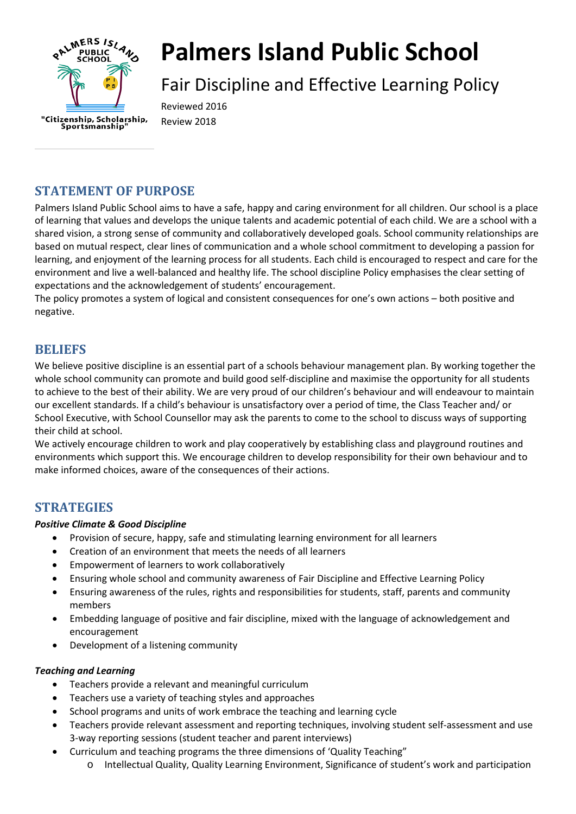

# **Palmers Island Public School**

Fair Discipline and Effective Learning Policy

Reviewed 2016 Review 2018

# **STATEMENT OF PURPOSE**

Palmers Island Public School aims to have a safe, happy and caring environment for all children. Our school is a place of learning that values and develops the unique talents and academic potential of each child. We are a school with a shared vision, a strong sense of community and collaboratively developed goals. School community relationships are based on mutual respect, clear lines of communication and a whole school commitment to developing a passion for learning, and enjoyment of the learning process for all students. Each child is encouraged to respect and care for the environment and live a well-balanced and healthy life. The school discipline Policy emphasises the clear setting of expectations and the acknowledgement of students' encouragement.

The policy promotes a system of logical and consistent consequences for one's own actions – both positive and negative.

### **BELIEFS**

We believe positive discipline is an essential part of a schools behaviour management plan. By working together the whole school community can promote and build good self-discipline and maximise the opportunity for all students to achieve to the best of their ability. We are very proud of our children's behaviour and will endeavour to maintain our excellent standards. If a child's behaviour is unsatisfactory over a period of time, the Class Teacher and/ or School Executive, with School Counsellor may ask the parents to come to the school to discuss ways of supporting their child at school.

We actively encourage children to work and play cooperatively by establishing class and playground routines and environments which support this. We encourage children to develop responsibility for their own behaviour and to make informed choices, aware of the consequences of their actions.

### **STRATEGIES**

### *Positive Climate & Good Discipline*

- Provision of secure, happy, safe and stimulating learning environment for all learners
- Creation of an environment that meets the needs of all learners
- Empowerment of learners to work collaboratively
- Ensuring whole school and community awareness of Fair Discipline and Effective Learning Policy
- Ensuring awareness of the rules, rights and responsibilities for students, staff, parents and community members
- Embedding language of positive and fair discipline, mixed with the language of acknowledgement and encouragement
- Development of a listening community

### *Teaching and Learning*

- Teachers provide a relevant and meaningful curriculum
- Teachers use a variety of teaching styles and approaches
- School programs and units of work embrace the teaching and learning cycle
- Teachers provide relevant assessment and reporting techniques, involving student self-assessment and use 3-way reporting sessions (student teacher and parent interviews)
- Curriculum and teaching programs the three dimensions of 'Quality Teaching"
	- o Intellectual Quality, Quality Learning Environment, Significance of student's work and participation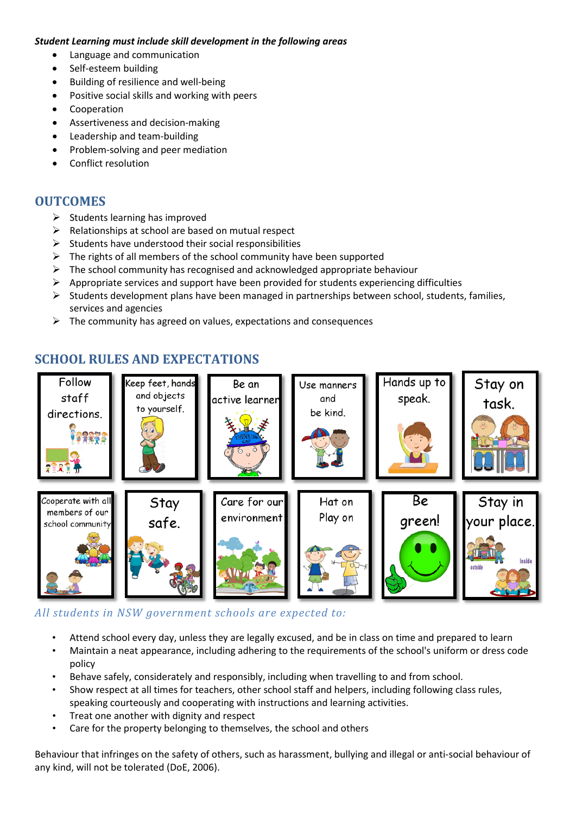### *Student Learning must include skill development in the following areas*

- Language and communication
- Self-esteem building
- Building of resilience and well-being
- Positive social skills and working with peers
- Cooperation
- Assertiveness and decision-making
- Leadership and team-building
- Problem-solving and peer mediation
- Conflict resolution

### **OUTCOMES**

- $\triangleright$  Students learning has improved
- $\triangleright$  Relationships at school are based on mutual respect
- $\triangleright$  Students have understood their social responsibilities
- $\triangleright$  The rights of all members of the school community have been supported
- $\triangleright$  The school community has recognised and acknowledged appropriate behaviour
- $\triangleright$  Appropriate services and support have been provided for students experiencing difficulties
- $\triangleright$  Students development plans have been managed in partnerships between school, students, families, services and agencies
- $\triangleright$  The community has agreed on values, expectations and consequences

# **SCHOOL RULES AND EXPECTATIONS**



### *All students in NSW government schools are expected to:*

- Attend school every day, unless they are legally excused, and be in class on time and prepared to learn • Maintain a neat appearance, including adhering to the requirements of the school's uniform or dress code policy
- Behave safely, considerately and responsibly, including when travelling to and from school.
- Show respect at all times for teachers, other school staff and helpers, including following class rules, speaking courteously and cooperating with instructions and learning activities.
- Treat one another with dignity and respect
- Care for the property belonging to themselves, the school and others

Behaviour that infringes on the safety of others, such as harassment, bullying and illegal or anti-social behaviour of any kind, will not be tolerated (DoE, 2006).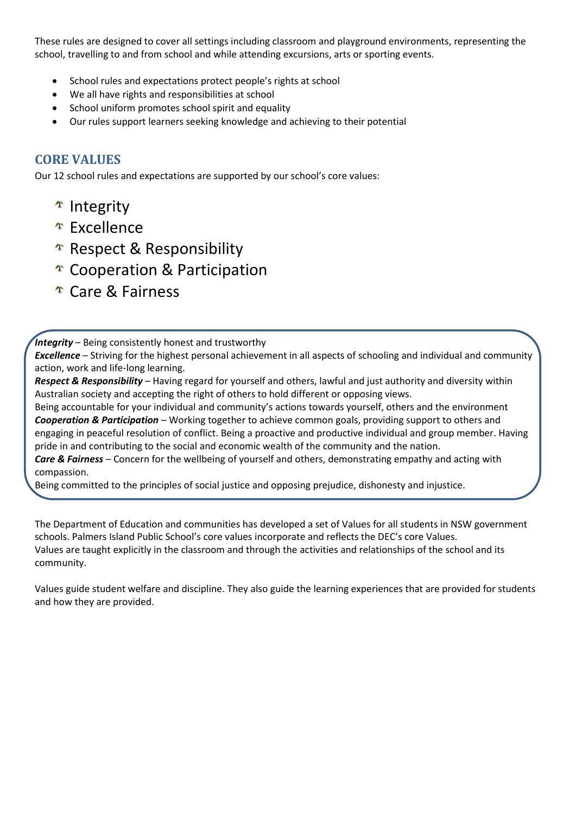These rules are designed to cover all settings including classroom and playground environments, representing the school, travelling to and from school and while attending excursions, arts or sporting events.

- School rules and expectations protect people's rights at school
- We all have rights and responsibilities at school
- School uniform promotes school spirit and equality
- Our rules support learners seeking knowledge and achieving to their potential

### **CORE VALUES**

Our 12 school rules and expectations are supported by our school's core values:

- <sup>T</sup> Integrity
- <sup>T</sup> Excellence
- $\hat{P}$  Respect & Responsibility
- Cooperation & Participation
- Care & Fairness

### *Integrity* – Being consistently honest and trustworthy

*Excellence* – Striving for the highest personal achievement in all aspects of schooling and individual and community action, work and life-long learning.

*Respect & Responsibility* – Having regard for yourself and others, lawful and just authority and diversity within Australian society and accepting the right of others to hold different or opposing views.

Being accountable for your individual and community's actions towards yourself, others and the environment *Cooperation & Participation* – Working together to achieve common goals, providing support to others and engaging in peaceful resolution of conflict. Being a proactive and productive individual and group member. Having pride in and contributing to the social and economic wealth of the community and the nation.

*Care & Fairness* – Concern for the wellbeing of yourself and others, demonstrating empathy and acting with compassion.

Being committed to the principles of social justice and opposing prejudice, dishonesty and injustice.

The Department of Education and communities has developed a set of Values for all students in NSW government schools. Palmers Island Public School's core values incorporate and reflects the DEC's core Values. Values are taught explicitly in the classroom and through the activities and relationships of the school and its community.

Values guide student welfare and discipline. They also guide the learning experiences that are provided for students and how they are provided.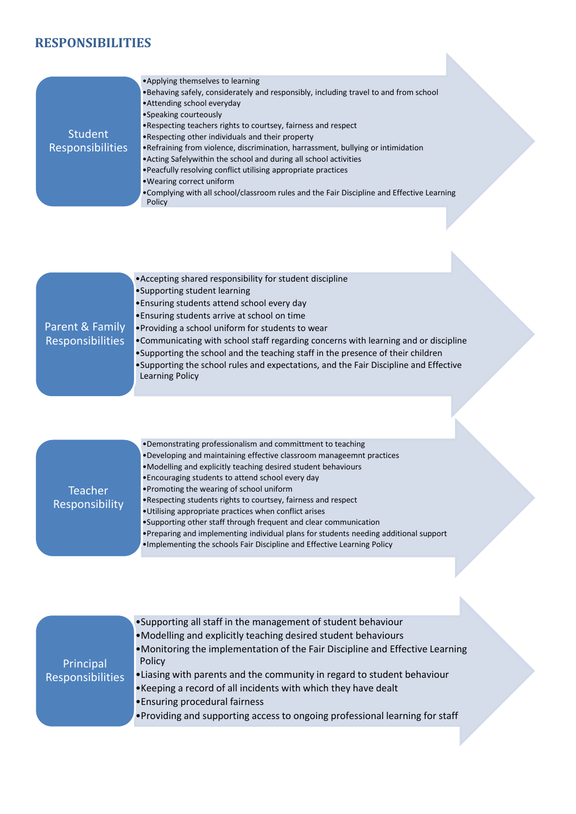# **RESPONSIBILITIES**

| <b>Student</b><br>Responsibilities  | • Applying themselves to learning<br>. Behaving safely, considerately and responsibly, including travel to and from school<br>• Attending school everyday<br>•Speaking courteously<br>. Respecting teachers rights to courtsey, fairness and respect<br>. Respecting other individuals and their property<br>. Refraining from violence, discrimination, harrassment, bullying or intimidation<br>. Acting Safelywithin the school and during all school activities<br>. Peacfully resolving conflict utilising appropriate practices<br>. Wearing correct uniform<br>. Complying with all school/classroom rules and the Fair Discipline and Effective Learning<br>Policy   |
|-------------------------------------|------------------------------------------------------------------------------------------------------------------------------------------------------------------------------------------------------------------------------------------------------------------------------------------------------------------------------------------------------------------------------------------------------------------------------------------------------------------------------------------------------------------------------------------------------------------------------------------------------------------------------------------------------------------------------|
|                                     |                                                                                                                                                                                                                                                                                                                                                                                                                                                                                                                                                                                                                                                                              |
| Parent & Family<br>Responsibilities | • Accepting shared responsibility for student discipline<br>•Supporting student learning<br>. Ensuring students attend school every day<br>. Ensuring students arrive at school on time<br>. Providing a school uniform for students to wear<br>. Communicating with school staff regarding concerns with learning and or discipline<br>. Supporting the school and the teaching staff in the presence of their children<br>. Supporting the school rules and expectations, and the Fair Discipline and Effective<br>Learning Policy                                                                                                                                         |
|                                     |                                                                                                                                                                                                                                                                                                                                                                                                                                                                                                                                                                                                                                                                              |
| Teacher<br>Responsibility           | . Demonstrating professionalism and committment to teaching<br>. Developing and maintaining effective classroom manageemnt practices<br>. Modelling and explicitly teaching desired student behaviours<br>. Encouraging students to attend school every day<br>•Promoting the wearing of school uniform<br>• Respecting students rights to courtsey, fairness and respect<br>. Utilising appropriate practices when conflict arises<br>•Supporting other staff through frequent and clear communication<br>. Preparing and implementing individual plans for students needing additional support<br>. Implementing the schools Fair Discipline and Effective Learning Policy |
|                                     | Cunnecting all staff in the management of student help                                                                                                                                                                                                                                                                                                                                                                                                                                                                                                                                                                                                                       |

| Principal<br><b>Responsibilities</b> | $\bullet$ Supporting all staff in the management of student behaviour        |  |
|--------------------------------------|------------------------------------------------------------------------------|--|
|                                      | •Modelling and explicitly teaching desired student behaviours                |  |
|                                      | •Monitoring the implementation of the Fair Discipline and Effective Learning |  |
|                                      | Policy                                                                       |  |
|                                      | • Liasing with parents and the community in regard to student behaviour      |  |
|                                      | . Keeping a record of all incidents with which they have dealt               |  |
|                                      | . Ensuring procedural fairness                                               |  |
|                                      | • Providing and supporting access to ongoing professional learning for staff |  |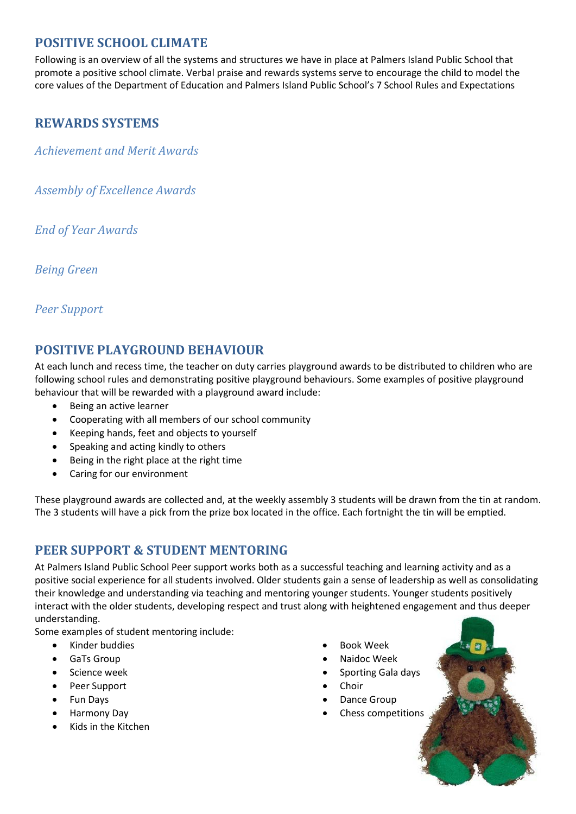### **POSITIVE SCHOOL CLIMATE**

Following is an overview of all the systems and structures we have in place at Palmers Island Public School that promote a positive school climate. Verbal praise and rewards systems serve to encourage the child to model the core values of the Department of Education and Palmers Island Public School's 7 School Rules and Expectations

## **REWARDS SYSTEMS**

*Achievement and Merit Awards*

*Assembly of Excellence Awards*

*End of Year Awards*

*Being Green*

### *Peer Support*

# **POSITIVE PLAYGROUND BEHAVIOUR**

At each lunch and recess time, the teacher on duty carries playground awards to be distributed to children who are following school rules and demonstrating positive playground behaviours. Some examples of positive playground behaviour that will be rewarded with a playground award include:

- Being an active learner
- Cooperating with all members of our school community
- Keeping hands, feet and objects to yourself
- Speaking and acting kindly to others
- Being in the right place at the right time
- Caring for our environment

These playground awards are collected and, at the weekly assembly 3 students will be drawn from the tin at random. The 3 students will have a pick from the prize box located in the office. Each fortnight the tin will be emptied.

### **PEER SUPPORT & STUDENT MENTORING**

At Palmers Island Public School Peer support works both as a successful teaching and learning activity and as a positive social experience for all students involved. Older students gain a sense of leadership as well as consolidating their knowledge and understanding via teaching and mentoring younger students. Younger students positively interact with the older students, developing respect and trust along with heightened engagement and thus deeper understanding.

Some examples of student mentoring include:

- Kinder buddies
- GaTs Group
- Science week
- Peer Support
- Fun Days
- Harmony Day
- Kids in the Kitchen
- Book Week
- Naidoc Week
- Sporting Gala days
- **Choir**
- Dance Group
- Chess competitions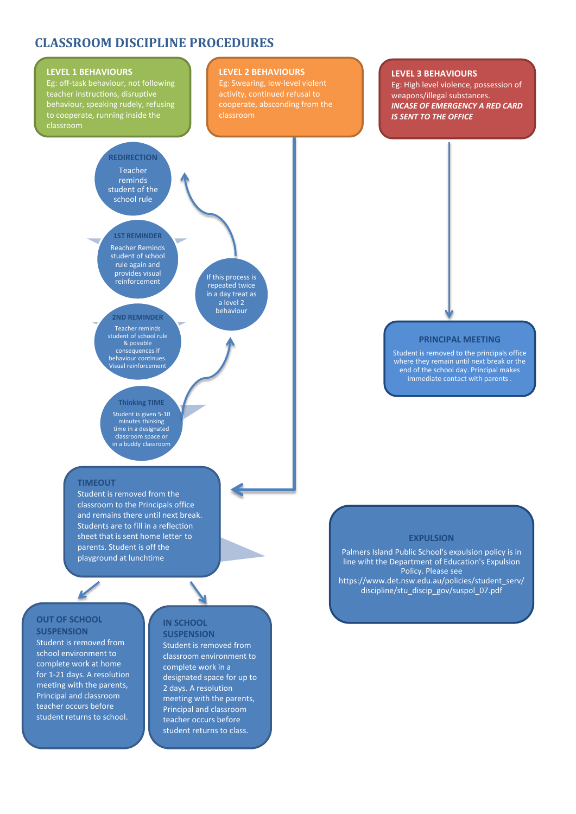### **CLASSROOM DISCIPLINE PROCEDURES**

#### **LEVEL 1 BEHAVIOURS**

Eg: off-task behaviour, not following teacher instructions, disruptive behaviour, speaking rudely, refusing

#### **LEVEL 2 BEHAVIOURS**

Eg: Swearing, low-level violent cooperate, absconding from the classroom

#### **LEVEL 3 BEHAVIOURS**

Eg: High level violence, possession of weapons/illegal substances. *INCASE OF EMERGENCY A RED CARD IS SENT TO THE OFFICE* 

#### **REDIRECTION** Teacher reminds student of the school rule

#### **1ST REMINDER** Reacher Reminds student of school rule again and provides visual reinforcement

**2ND REMINDER** Teacher reminds student of school rule & possible consequences if behaviour continues. Visual reinforcement

If this process is repeated twice in a day treat as a level 2 behaviour

#### **PRINCIPAL MEETING**

Student is removed to the principals office where they remain until next break or the end of the school day. Principal makes immediate contact with parents .

### Student is given 5-10

minutes thinking time in a designated classroom space or in a buddy classroom

**Thinking TIME**

#### **TIMEOUT**

Student is removed from the classroom to the Principals office and remains there until next break. Students are to fill in a reflection sheet that is sent home letter to parents. Student is off the playground at lunchtime

### **OUT OF SCHOOL SUSPENSION**

Student is removed from school environment to complete work at home for 1-21 days. A resolution meeting with the parents, Principal and classroom teacher occurs before student returns to school.

#### **IN SCHOOL SUSPENSION**

Student is removed from classroom environment to complete work in a designated space for up to 2 days. A resolution meeting with the parents, Principal and classroom teacher occurs before student returns to class.

#### **EXPULSION**

Palmers Island Public School's expulsion policy is in line wiht the Department of Education's Expulsion Policy. Please see https://www.det.nsw.edu.au/policies/student\_serv/ discipline/stu\_discip\_gov/suspol\_07.pdf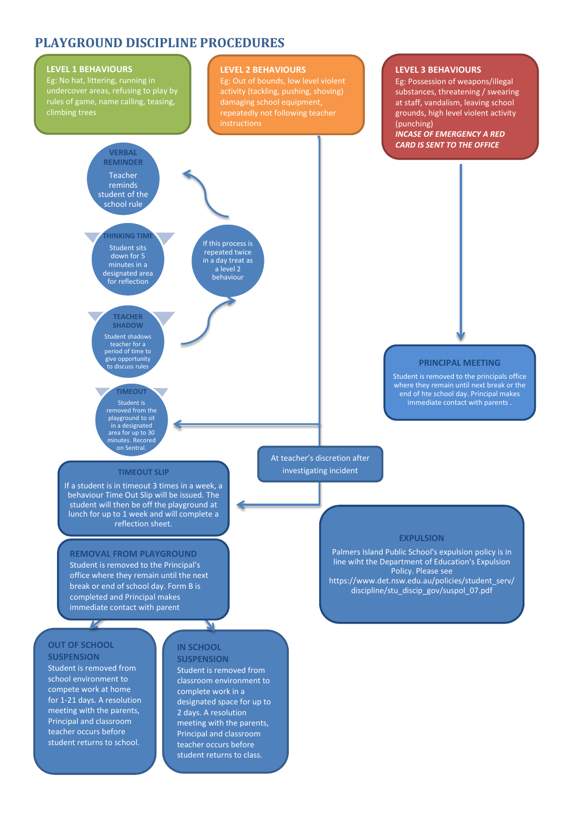### **PLAYGROUND DISCIPLINE PROCEDURES**



school environment to compete work at home for 1-21 days. A resolution meeting with the parents, Principal and classroom teacher occurs before student returns to school.

classroom environment to complete work in a designated space for up to 2 days. A resolution meeting with the parents, Principal and classroom teacher occurs before student returns to class.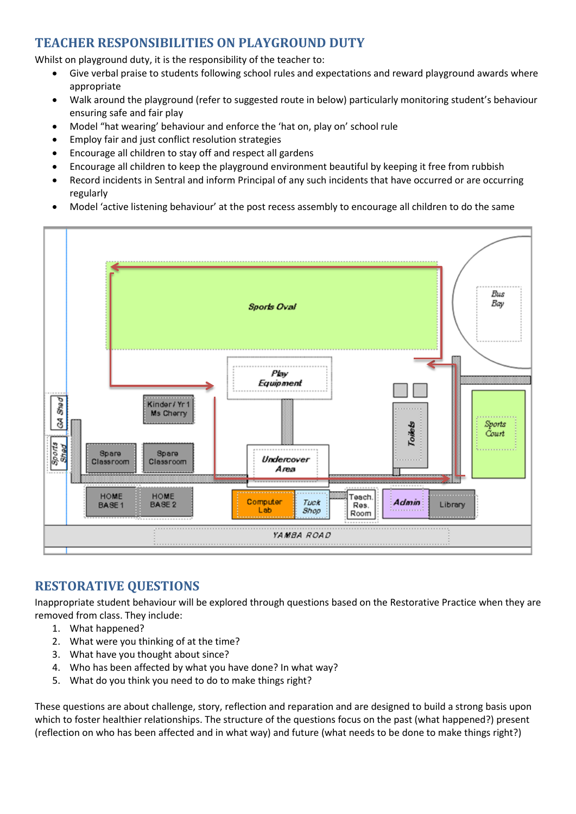## **TEACHER RESPONSIBILITIES ON PLAYGROUND DUTY**

Whilst on playground duty, it is the responsibility of the teacher to:

- Give verbal praise to students following school rules and expectations and reward playground awards where appropriate
- Walk around the playground (refer to suggested route in below) particularly monitoring student's behaviour ensuring safe and fair play
- Model "hat wearing' behaviour and enforce the 'hat on, play on' school rule
- Employ fair and just conflict resolution strategies
- Encourage all children to stay off and respect all gardens
- Encourage all children to keep the playground environment beautiful by keeping it free from rubbish
- Record incidents in Sentral and inform Principal of any such incidents that have occurred or are occurring regularly
- Model 'active listening behaviour' at the post recess assembly to encourage all children to do the same



# **RESTORATIVE QUESTIONS**

Inappropriate student behaviour will be explored through questions based on the Restorative Practice when they are removed from class. They include:

- 1. What happened?
- 2. What were you thinking of at the time?
- 3. What have you thought about since?
- 4. Who has been affected by what you have done? In what way?
- 5. What do you think you need to do to make things right?

These questions are about challenge, story, reflection and reparation and are designed to build a strong basis upon which to foster healthier relationships. The structure of the questions focus on the past (what happened?) present (reflection on who has been affected and in what way) and future (what needs to be done to make things right?)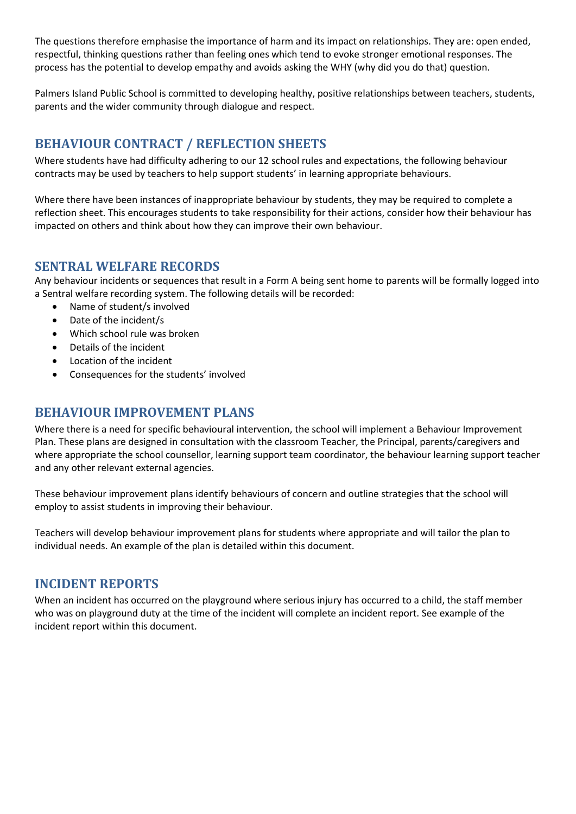The questions therefore emphasise the importance of harm and its impact on relationships. They are: open ended, respectful, thinking questions rather than feeling ones which tend to evoke stronger emotional responses. The process has the potential to develop empathy and avoids asking the WHY (why did you do that) question.

Palmers Island Public School is committed to developing healthy, positive relationships between teachers, students, parents and the wider community through dialogue and respect.

### **BEHAVIOUR CONTRACT / REFLECTION SHEETS**

Where students have had difficulty adhering to our 12 school rules and expectations, the following behaviour contracts may be used by teachers to help support students' in learning appropriate behaviours.

Where there have been instances of inappropriate behaviour by students, they may be required to complete a reflection sheet. This encourages students to take responsibility for their actions, consider how their behaviour has impacted on others and think about how they can improve their own behaviour.

### **SENTRAL WELFARE RECORDS**

Any behaviour incidents or sequences that result in a Form A being sent home to parents will be formally logged into a Sentral welfare recording system. The following details will be recorded:

- Name of student/s involved
- Date of the incident/s
- Which school rule was broken
- Details of the incident
- Location of the incident
- Consequences for the students' involved

### **BEHAVIOUR IMPROVEMENT PLANS**

Where there is a need for specific behavioural intervention, the school will implement a Behaviour Improvement Plan. These plans are designed in consultation with the classroom Teacher, the Principal, parents/caregivers and where appropriate the school counsellor, learning support team coordinator, the behaviour learning support teacher and any other relevant external agencies.

These behaviour improvement plans identify behaviours of concern and outline strategies that the school will employ to assist students in improving their behaviour.

Teachers will develop behaviour improvement plans for students where appropriate and will tailor the plan to individual needs. An example of the plan is detailed within this document.

### **INCIDENT REPORTS**

When an incident has occurred on the playground where serious injury has occurred to a child, the staff member who was on playground duty at the time of the incident will complete an incident report. See example of the incident report within this document.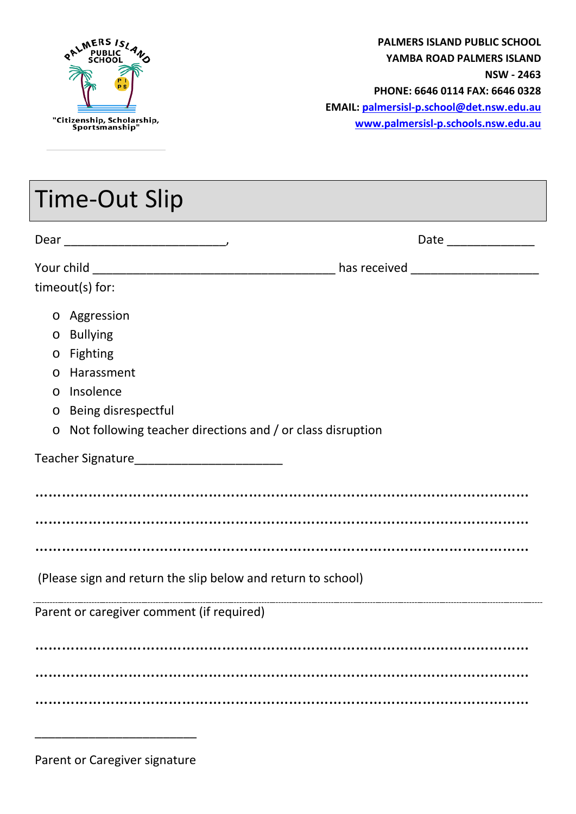

**PALMERS ISLAND PUBLIC SCHOOL YAMBA ROAD PALMERS ISLAND NSW - 2463 PHONE: 6646 0114 FAX: 6646 0328 EMAIL: [palmersisl-p.school@det.nsw.edu.au](mailto:palmersisl-p.school@det.nsw.edu.au) [www.palmersisl-p.schools.nsw.edu.au](http://www.palmersisl-p.schools.nsw.edu.au/)**

| Time-Out Slip                                                |                                                                    |  |  |  |  |
|--------------------------------------------------------------|--------------------------------------------------------------------|--|--|--|--|
|                                                              |                                                                    |  |  |  |  |
|                                                              |                                                                    |  |  |  |  |
| timeout(s) for:                                              |                                                                    |  |  |  |  |
|                                                              | o Aggression                                                       |  |  |  |  |
|                                                              | o Bullying                                                         |  |  |  |  |
|                                                              | o Fighting                                                         |  |  |  |  |
| $\circ$                                                      | Harassment                                                         |  |  |  |  |
|                                                              | o Insolence                                                        |  |  |  |  |
|                                                              | o Being disrespectful                                              |  |  |  |  |
|                                                              | $\circ$ Not following teacher directions and / or class disruption |  |  |  |  |
|                                                              |                                                                    |  |  |  |  |
|                                                              |                                                                    |  |  |  |  |
|                                                              |                                                                    |  |  |  |  |
|                                                              |                                                                    |  |  |  |  |
| (Please sign and return the slip below and return to school) |                                                                    |  |  |  |  |
| Parent or caregiver comment (if required)                    |                                                                    |  |  |  |  |
|                                                              |                                                                    |  |  |  |  |
|                                                              |                                                                    |  |  |  |  |
|                                                              |                                                                    |  |  |  |  |

Parent or Caregiver signature

\_\_\_\_\_\_\_\_\_\_\_\_\_\_\_\_\_\_\_\_\_\_\_\_